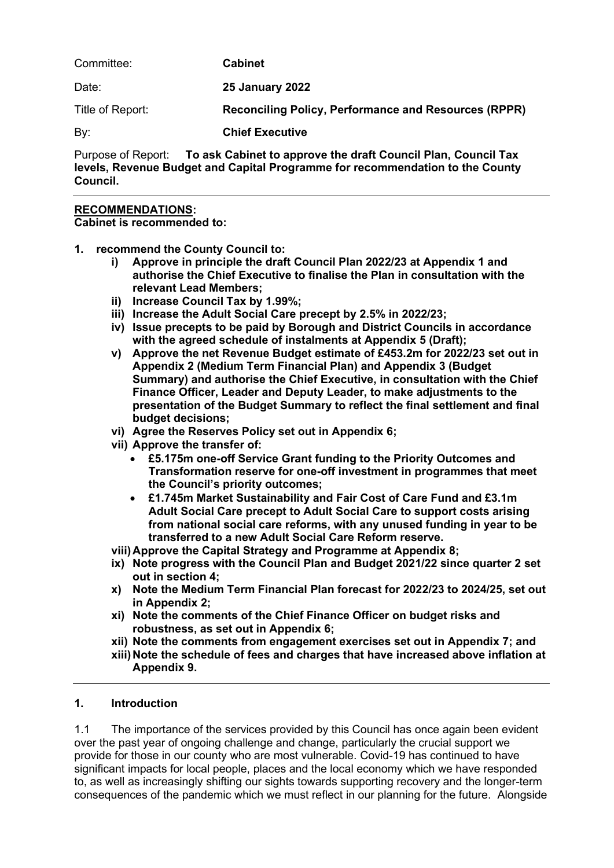| Committee:       | <b>Cabinet</b>                                              |
|------------------|-------------------------------------------------------------|
| Date:            | <b>25 January 2022</b>                                      |
| Title of Report: | <b>Reconciling Policy, Performance and Resources (RPPR)</b> |
| By:              | <b>Chief Executive</b>                                      |
|                  |                                                             |

Purpose of Report: **To ask Cabinet to approve the draft Council Plan, Council Tax levels, Revenue Budget and Capital Programme for recommendation to the County Council.**

#### **RECOMMENDATIONS:**

**Cabinet is recommended to:**

- **1. recommend the County Council to:**
	- **i) Approve in principle the draft Council Plan 2022/23 at Appendix 1 and authorise the Chief Executive to finalise the Plan in consultation with the relevant Lead Members;**
	- **ii) Increase Council Tax by 1.99%;**
	- **iii) Increase the Adult Social Care precept by 2.5% in 2022/23;**
	- **iv) Issue precepts to be paid by Borough and District Councils in accordance with the agreed schedule of instalments at Appendix 5 (Draft);**
	- **v) Approve the net Revenue Budget estimate of £453.2m for 2022/23 set out in Appendix 2 (Medium Term Financial Plan) and Appendix 3 (Budget Summary) and authorise the Chief Executive, in consultation with the Chief Finance Officer, Leader and Deputy Leader, to make adjustments to the presentation of the Budget Summary to reflect the final settlement and final budget decisions;**
	- **vi) Agree the Reserves Policy set out in Appendix 6;**
	- **vii) Approve the transfer of:**
		- **£5.175m one-off Service Grant funding to the Priority Outcomes and Transformation reserve for one-off investment in programmes that meet the Council's priority outcomes;**
		- **£1.745m Market Sustainability and Fair Cost of Care Fund and £3.1m Adult Social Care precept to Adult Social Care to support costs arising from national social care reforms, with any unused funding in year to be transferred to a new Adult Social Care Reform reserve.**
	- **viii) Approve the Capital Strategy and Programme at Appendix 8;**
	- **ix) Note progress with the Council Plan and Budget 2021/22 since quarter 2 set out in section 4;**
	- **x) Note the Medium Term Financial Plan forecast for 2022/23 to 2024/25, set out in Appendix 2;**
	- **xi) Note the comments of the Chief Finance Officer on budget risks and robustness, as set out in Appendix 6;**
	- **xii) Note the comments from engagement exercises set out in Appendix 7; and**
	- **xiii) Note the schedule of fees and charges that have increased above inflation at Appendix 9.**

#### **1. Introduction**

1.1 The importance of the services provided by this Council has once again been evident over the past year of ongoing challenge and change, particularly the crucial support we provide for those in our county who are most vulnerable. Covid-19 has continued to have significant impacts for local people, places and the local economy which we have responded to, as well as increasingly shifting our sights towards supporting recovery and the longer-term consequences of the pandemic which we must reflect in our planning for the future. Alongside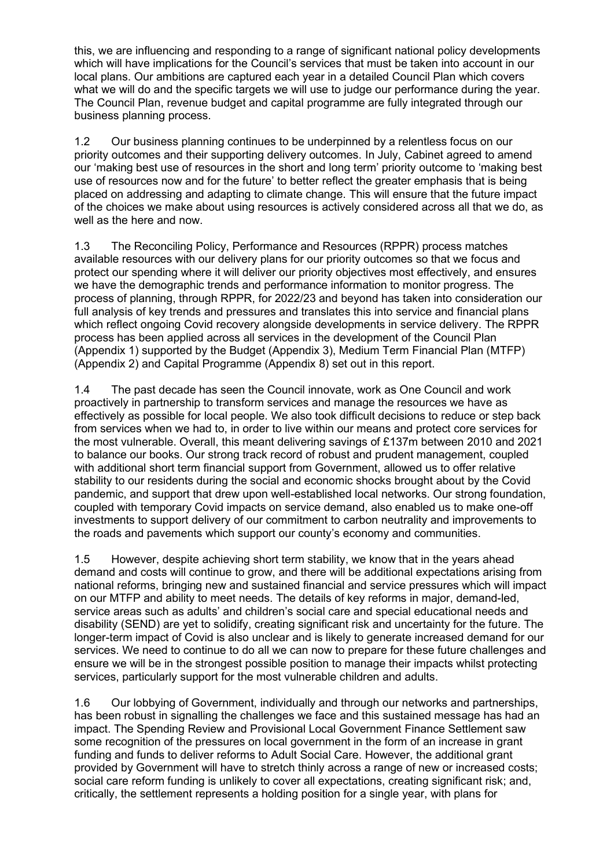this, we are influencing and responding to a range of significant national policy developments which will have implications for the Council's services that must be taken into account in our local plans. Our ambitions are captured each year in a detailed Council Plan which covers what we will do and the specific targets we will use to judge our performance during the year. The Council Plan, revenue budget and capital programme are fully integrated through our business planning process.

1.2 Our business planning continues to be underpinned by a relentless focus on our priority outcomes and their supporting delivery outcomes. In July, Cabinet agreed to amend our 'making best use of resources in the short and long term' priority outcome to 'making best use of resources now and for the future' to better reflect the greater emphasis that is being placed on addressing and adapting to climate change. This will ensure that the future impact of the choices we make about using resources is actively considered across all that we do, as well as the here and now.

1.3 The Reconciling Policy, Performance and Resources (RPPR) process matches available resources with our delivery plans for our priority outcomes so that we focus and protect our spending where it will deliver our priority objectives most effectively, and ensures we have the demographic trends and performance information to monitor progress. The process of planning, through RPPR, for 2022/23 and beyond has taken into consideration our full analysis of key trends and pressures and translates this into service and financial plans which reflect ongoing Covid recovery alongside developments in service delivery. The RPPR process has been applied across all services in the development of the Council Plan (Appendix 1) supported by the Budget (Appendix 3), Medium Term Financial Plan (MTFP) (Appendix 2) and Capital Programme (Appendix 8) set out in this report.

1.4 The past decade has seen the Council innovate, work as One Council and work proactively in partnership to transform services and manage the resources we have as effectively as possible for local people. We also took difficult decisions to reduce or step back from services when we had to, in order to live within our means and protect core services for the most vulnerable. Overall, this meant delivering savings of £137m between 2010 and 2021 to balance our books. Our strong track record of robust and prudent management, coupled with additional short term financial support from Government, allowed us to offer relative stability to our residents during the social and economic shocks brought about by the Covid pandemic, and support that drew upon well-established local networks. Our strong foundation, coupled with temporary Covid impacts on service demand, also enabled us to make one-off investments to support delivery of our commitment to carbon neutrality and improvements to the roads and pavements which support our county's economy and communities.

1.5 However, despite achieving short term stability, we know that in the years ahead demand and costs will continue to grow, and there will be additional expectations arising from national reforms, bringing new and sustained financial and service pressures which will impact on our MTFP and ability to meet needs. The details of key reforms in major, demand-led, service areas such as adults' and children's social care and special educational needs and disability (SEND) are yet to solidify, creating significant risk and uncertainty for the future. The longer-term impact of Covid is also unclear and is likely to generate increased demand for our services. We need to continue to do all we can now to prepare for these future challenges and ensure we will be in the strongest possible position to manage their impacts whilst protecting services, particularly support for the most vulnerable children and adults.

1.6 Our lobbying of Government, individually and through our networks and partnerships, has been robust in signalling the challenges we face and this sustained message has had an impact. The Spending Review and Provisional Local Government Finance Settlement saw some recognition of the pressures on local government in the form of an increase in grant funding and funds to deliver reforms to Adult Social Care. However, the additional grant provided by Government will have to stretch thinly across a range of new or increased costs; social care reform funding is unlikely to cover all expectations, creating significant risk; and, critically, the settlement represents a holding position for a single year, with plans for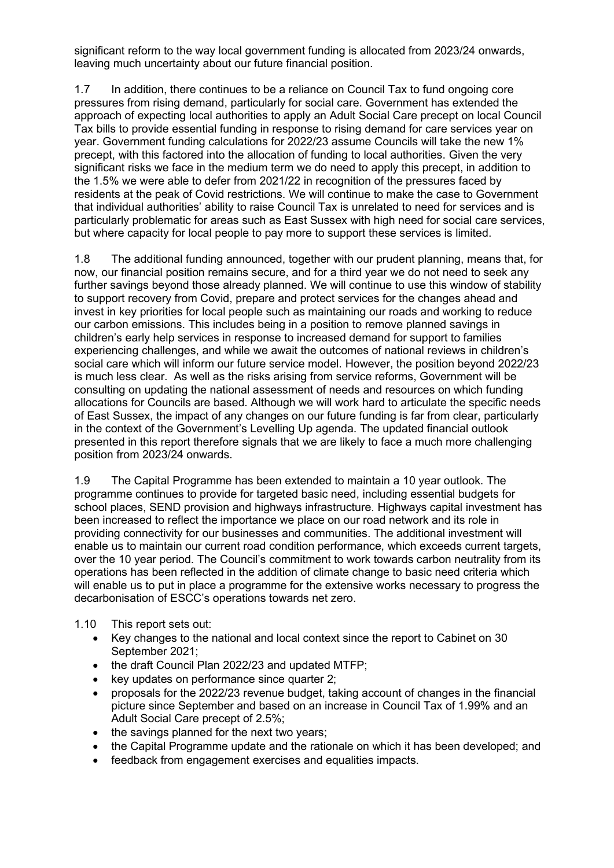significant reform to the way local government funding is allocated from 2023/24 onwards, leaving much uncertainty about our future financial position.

1.7 In addition, there continues to be a reliance on Council Tax to fund ongoing core pressures from rising demand, particularly for social care. Government has extended the approach of expecting local authorities to apply an Adult Social Care precept on local Council Tax bills to provide essential funding in response to rising demand for care services year on year. Government funding calculations for 2022/23 assume Councils will take the new 1% precept, with this factored into the allocation of funding to local authorities. Given the very significant risks we face in the medium term we do need to apply this precept, in addition to the 1.5% we were able to defer from 2021/22 in recognition of the pressures faced by residents at the peak of Covid restrictions. We will continue to make the case to Government that individual authorities' ability to raise Council Tax is unrelated to need for services and is particularly problematic for areas such as East Sussex with high need for social care services, but where capacity for local people to pay more to support these services is limited.

1.8 The additional funding announced, together with our prudent planning, means that, for now, our financial position remains secure, and for a third year we do not need to seek any further savings beyond those already planned. We will continue to use this window of stability to support recovery from Covid, prepare and protect services for the changes ahead and invest in key priorities for local people such as maintaining our roads and working to reduce our carbon emissions. This includes being in a position to remove planned savings in children's early help services in response to increased demand for support to families experiencing challenges, and while we await the outcomes of national reviews in children's social care which will inform our future service model. However, the position beyond 2022/23 is much less clear. As well as the risks arising from service reforms, Government will be consulting on updating the national assessment of needs and resources on which funding allocations for Councils are based. Although we will work hard to articulate the specific needs of East Sussex, the impact of any changes on our future funding is far from clear, particularly in the context of the Government's Levelling Up agenda. The updated financial outlook presented in this report therefore signals that we are likely to face a much more challenging position from 2023/24 onwards.

1.9 The Capital Programme has been extended to maintain a 10 year outlook. The programme continues to provide for targeted basic need, including essential budgets for school places, SEND provision and highways infrastructure. Highways capital investment has been increased to reflect the importance we place on our road network and its role in providing connectivity for our businesses and communities. The additional investment will enable us to maintain our current road condition performance, which exceeds current targets, over the 10 year period. The Council's commitment to work towards carbon neutrality from its operations has been reflected in the addition of climate change to basic need criteria which will enable us to put in place a programme for the extensive works necessary to progress the decarbonisation of ESCC's operations towards net zero.

#### 1.10 This report sets out:

- Key changes to the national and local context since the report to Cabinet on 30 September 2021;
- the draft Council Plan 2022/23 and updated MTFP;
- key updates on performance since quarter 2;
- proposals for the 2022/23 revenue budget, taking account of changes in the financial picture since September and based on an increase in Council Tax of 1.99% and an Adult Social Care precept of 2.5%;
- the savings planned for the next two years;
- the Capital Programme update and the rationale on which it has been developed; and
- feedback from engagement exercises and equalities impacts.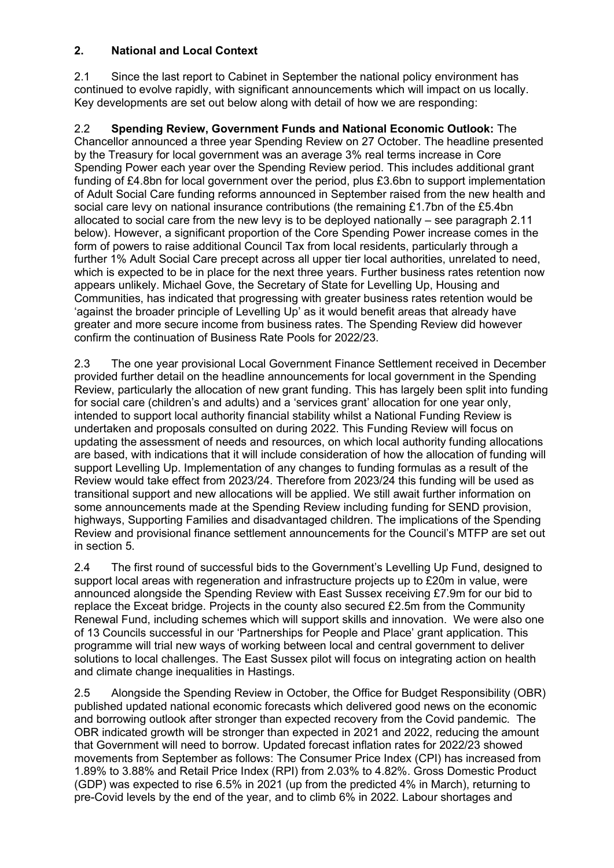### **2. National and Local Context**

2.1 Since the last report to Cabinet in September the national policy environment has continued to evolve rapidly, with significant announcements which will impact on us locally. Key developments are set out below along with detail of how we are responding:

2.2 **Spending Review, Government Funds and National Economic Outlook:** The Chancellor announced a three year Spending Review on 27 October. The headline presented by the Treasury for local government was an average 3% real terms increase in Core Spending Power each year over the Spending Review period. This includes additional grant funding of £4.8bn for local government over the period, plus £3.6bn to support implementation of Adult Social Care funding reforms announced in September raised from the new health and social care levy on national insurance contributions (the remaining £1.7bn of the £5.4bn allocated to social care from the new levy is to be deployed nationally – see paragraph 2.11 below). However, a significant proportion of the Core Spending Power increase comes in the form of powers to raise additional Council Tax from local residents, particularly through a further 1% Adult Social Care precept across all upper tier local authorities, unrelated to need, which is expected to be in place for the next three years. Further business rates retention now appears unlikely. Michael Gove, the Secretary of State for Levelling Up, Housing and Communities, has indicated that progressing with greater business rates retention would be 'against the broader principle of Levelling Up' as it would benefit areas that already have greater and more secure income from business rates. The Spending Review did however confirm the continuation of Business Rate Pools for 2022/23.

2.3 The one year provisional Local Government Finance Settlement received in December provided further detail on the headline announcements for local government in the Spending Review, particularly the allocation of new grant funding. This has largely been split into funding for social care (children's and adults) and a 'services grant' allocation for one year only, intended to support local authority financial stability whilst a National Funding Review is undertaken and proposals consulted on during 2022. This Funding Review will focus on updating the assessment of needs and resources, on which local authority funding allocations are based, with indications that it will include consideration of how the allocation of funding will support Levelling Up. Implementation of any changes to funding formulas as a result of the Review would take effect from 2023/24. Therefore from 2023/24 this funding will be used as transitional support and new allocations will be applied. We still await further information on some announcements made at the Spending Review including funding for SEND provision, highways, Supporting Families and disadvantaged children. The implications of the Spending Review and provisional finance settlement announcements for the Council's MTFP are set out in section 5.

2.4 The first round of successful bids to the Government's Levelling Up Fund, designed to support local areas with regeneration and infrastructure projects up to £20m in value, were announced alongside the Spending Review with East Sussex receiving £7.9m for our bid to replace the Exceat bridge. Projects in the county also secured £2.5m from the Community Renewal Fund, including schemes which will support skills and innovation. We were also one of 13 Councils successful in our 'Partnerships for People and Place' grant application. This programme will trial new ways of working between local and central government to deliver solutions to local challenges. The East Sussex pilot will focus on integrating action on health and climate change inequalities in Hastings.

2.5 Alongside the Spending Review in October, the Office for Budget Responsibility (OBR) published updated national economic forecasts which delivered good news on the economic and borrowing outlook after stronger than expected recovery from the Covid pandemic. The OBR indicated growth will be stronger than expected in 2021 and 2022, reducing the amount that Government will need to borrow. Updated forecast inflation rates for 2022/23 showed movements from September as follows: The Consumer Price Index (CPI) has increased from 1.89% to 3.88% and Retail Price Index (RPI) from 2.03% to 4.82%. Gross Domestic Product (GDP) was expected to rise 6.5% in 2021 (up from the predicted 4% in March), returning to pre-Covid levels by the end of the year, and to climb 6% in 2022. Labour shortages and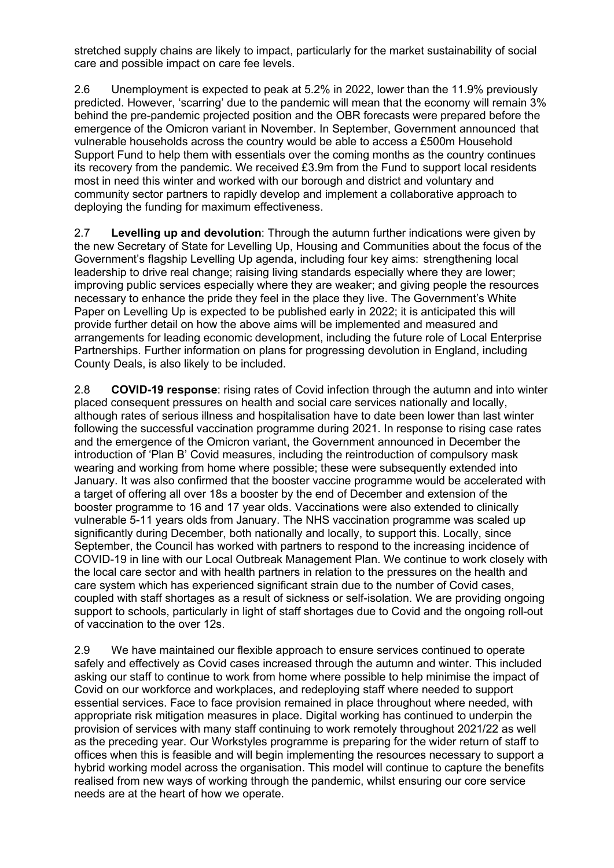stretched supply chains are likely to impact, particularly for the market sustainability of social care and possible impact on care fee levels.

2.6 Unemployment is expected to peak at 5.2% in 2022, lower than the 11.9% previously predicted. However, 'scarring' due to the pandemic will mean that the economy will remain 3% behind the pre-pandemic projected position and the OBR forecasts were prepared before the emergence of the Omicron variant in November. In September, Government announced that vulnerable households across the country would be able to access a £500m Household Support Fund to help them with essentials over the coming months as the country continues its recovery from the pandemic. We received £3.9m from the Fund to support local residents most in need this winter and worked with our borough and district and voluntary and community sector partners to rapidly develop and implement a collaborative approach to deploying the funding for maximum effectiveness.

2.7 **Levelling up and devolution**: Through the autumn further indications were given by the new Secretary of State for Levelling Up, Housing and Communities about the focus of the Government's flagship Levelling Up agenda, including four key aims: strengthening local leadership to drive real change; raising living standards especially where they are lower; improving public services especially where they are weaker; and giving people the resources necessary to enhance the pride they feel in the place they live. The Government's White Paper on Levelling Up is expected to be published early in 2022; it is anticipated this will provide further detail on how the above aims will be implemented and measured and arrangements for leading economic development, including the future role of Local Enterprise Partnerships. Further information on plans for progressing devolution in England, including County Deals, is also likely to be included.

2.8 **COVID-19 response**: rising rates of Covid infection through the autumn and into winter placed consequent pressures on health and social care services nationally and locally, although rates of serious illness and hospitalisation have to date been lower than last winter following the successful vaccination programme during 2021. In response to rising case rates and the emergence of the Omicron variant, the Government announced in December the introduction of 'Plan B' Covid measures, including the reintroduction of compulsory mask wearing and working from home where possible; these were subsequently extended into January. It was also confirmed that the booster vaccine programme would be accelerated with a target of offering all over 18s a booster by the end of December and extension of the booster programme to 16 and 17 year olds. Vaccinations were also extended to clinically vulnerable 5-11 years olds from January. The NHS vaccination programme was scaled up significantly during December, both nationally and locally, to support this. Locally, since September, the Council has worked with partners to respond to the increasing incidence of COVID-19 in line with our Local Outbreak Management Plan. We continue to work closely with the local care sector and with health partners in relation to the pressures on the health and care system which has experienced significant strain due to the number of Covid cases, coupled with staff shortages as a result of sickness or self-isolation. We are providing ongoing support to schools, particularly in light of staff shortages due to Covid and the ongoing roll-out of vaccination to the over 12s.

2.9 We have maintained our flexible approach to ensure services continued to operate safely and effectively as Covid cases increased through the autumn and winter. This included asking our staff to continue to work from home where possible to help minimise the impact of Covid on our workforce and workplaces, and redeploying staff where needed to support essential services. Face to face provision remained in place throughout where needed, with appropriate risk mitigation measures in place. Digital working has continued to underpin the provision of services with many staff continuing to work remotely throughout 2021/22 as well as the preceding year. Our Workstyles programme is preparing for the wider return of staff to offices when this is feasible and will begin implementing the resources necessary to support a hybrid working model across the organisation. This model will continue to capture the benefits realised from new ways of working through the pandemic, whilst ensuring our core service needs are at the heart of how we operate.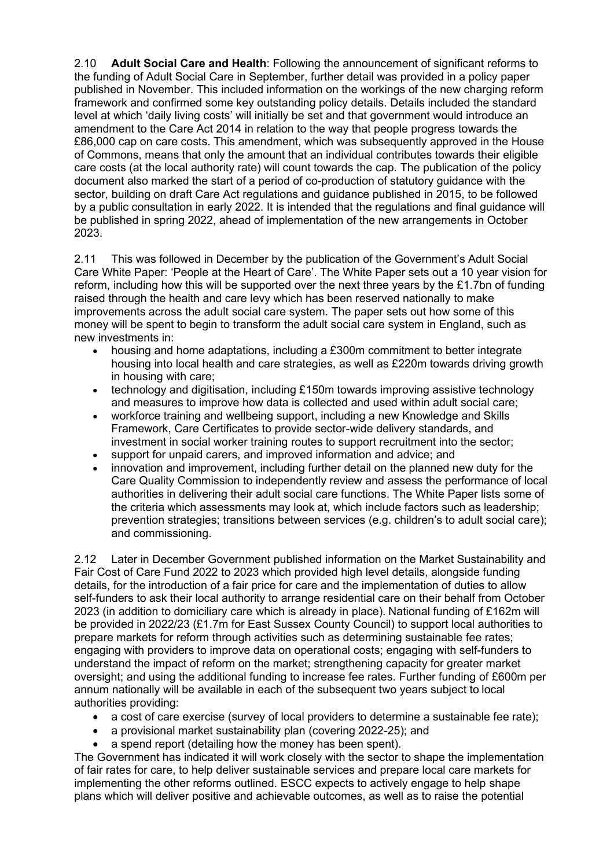2.10 **Adult Social Care and Health**: Following the announcement of significant reforms to the funding of Adult Social Care in September, further detail was provided in a policy paper published in November. This included information on the workings of the new charging reform framework and confirmed some key outstanding policy details. Details included the standard level at which 'daily living costs' will initially be set and that government would introduce an amendment to the Care Act 2014 in relation to the way that people progress towards the £86,000 cap on care costs. This amendment, which was subsequently approved in the House of Commons, means that only the amount that an individual contributes towards their eligible care costs (at the local authority rate) will count towards the cap. The publication of the policy document also marked the start of a period of co-production of statutory guidance with the sector, building on draft Care Act regulations and guidance published in 2015, to be followed by a public consultation in early 2022. It is intended that the regulations and final guidance will be published in spring 2022, ahead of implementation of the new arrangements in October 2023.

2.11 This was followed in December by the publication of the Government's Adult Social Care White Paper: 'People at the Heart of Care'. The White Paper sets out a 10 year vision for reform, including how this will be supported over the next three years by the £1.7bn of funding raised through the health and care levy which has been reserved nationally to make improvements across the adult social care system. The paper sets out how some of this money will be spent to begin to transform the adult social care system in England, such as new investments in:

- housing and home adaptations, including a £300m commitment to better integrate housing into local health and care strategies, as well as £220m towards driving growth in housing with care;
- technology and digitisation, including £150m towards improving assistive technology and measures to improve how data is collected and used within adult social care;
- workforce training and wellbeing support, including a new Knowledge and Skills Framework, Care Certificates to provide sector-wide delivery standards, and investment in social worker training routes to support recruitment into the sector;
- support for unpaid carers, and improved information and advice; and
- innovation and improvement, including further detail on the planned new duty for the Care Quality Commission to independently review and assess the performance of local authorities in delivering their adult social care functions. The White Paper lists some of the criteria which assessments may look at, which include factors such as leadership; prevention strategies; transitions between services (e.g. children's to adult social care); and commissioning.

2.12 Later in December Government published information on the Market Sustainability and Fair Cost of Care Fund 2022 to 2023 which provided high level details, alongside funding details, for the introduction of a fair price for care and the implementation of duties to allow self-funders to ask their local authority to arrange residential care on their behalf from October 2023 (in addition to domiciliary care which is already in place). National funding of £162m will be provided in 2022/23 (£1.7m for East Sussex County Council) to support local authorities to prepare markets for reform through activities such as determining sustainable fee rates; engaging with providers to improve data on operational costs; engaging with self-funders to understand the impact of reform on the market; strengthening capacity for greater market oversight; and using the additional funding to increase fee rates. Further funding of £600m per annum nationally will be available in each of the subsequent two years subject to local authorities providing:

- a cost of care exercise (survey of local providers to determine a sustainable fee rate);
- a provisional market sustainability plan (covering 2022-25); and
- a spend report (detailing how the money has been spent).

The Government has indicated it will work closely with the sector to shape the implementation of fair rates for care, to help deliver sustainable services and prepare local care markets for implementing the other reforms outlined. ESCC expects to actively engage to help shape plans which will deliver positive and achievable outcomes, as well as to raise the potential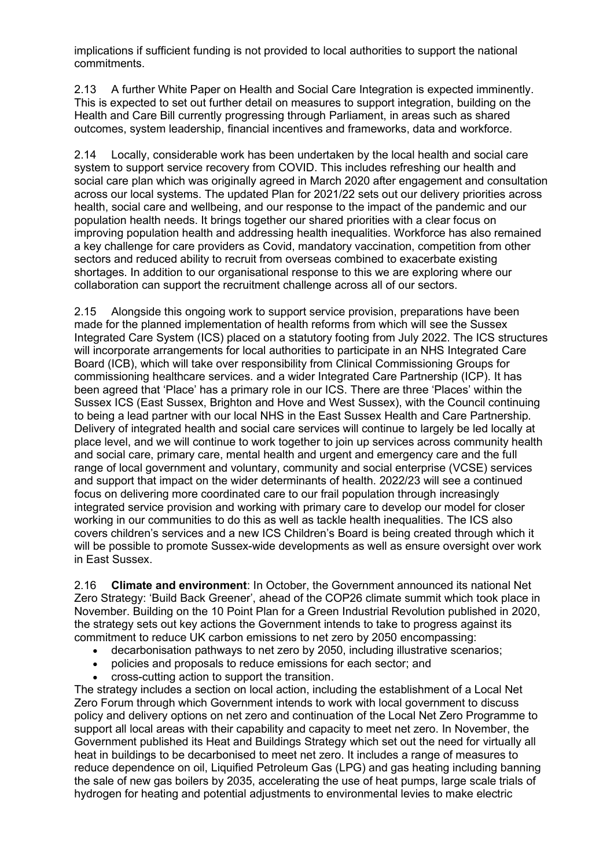implications if sufficient funding is not provided to local authorities to support the national commitments.

2.13 A further White Paper on Health and Social Care Integration is expected imminently. This is expected to set out further detail on measures to support integration, building on the Health and Care Bill currently progressing through Parliament, in areas such as shared outcomes, system leadership, financial incentives and frameworks, data and workforce.

2.14 Locally, considerable work has been undertaken by the local health and social care system to support service recovery from COVID. This includes refreshing our health and social care plan which was originally agreed in March 2020 after engagement and consultation across our local systems. The updated Plan for 2021/22 sets out our delivery priorities across health, social care and wellbeing, and our response to the impact of the pandemic and our population health needs. It brings together our shared priorities with a clear focus on improving population health and addressing health inequalities. Workforce has also remained a key challenge for care providers as Covid, mandatory vaccination, competition from other sectors and reduced ability to recruit from overseas combined to exacerbate existing shortages. In addition to our organisational response to this we are exploring where our collaboration can support the recruitment challenge across all of our sectors.

2.15 Alongside this ongoing work to support service provision, preparations have been made for the planned implementation of health reforms from which will see the Sussex Integrated Care System (ICS) placed on a statutory footing from July 2022. The ICS structures will incorporate arrangements for local authorities to participate in an NHS Integrated Care Board (ICB), which will take over responsibility from Clinical Commissioning Groups for commissioning healthcare services. and a wider Integrated Care Partnership (ICP). It has been agreed that 'Place' has a primary role in our ICS. There are three 'Places' within the Sussex ICS (East Sussex, Brighton and Hove and West Sussex), with the Council continuing to being a lead partner with our local NHS in the East Sussex Health and Care Partnership. Delivery of integrated health and social care services will continue to largely be led locally at place level, and we will continue to work together to join up services across community health and social care, primary care, mental health and urgent and emergency care and the full range of local government and voluntary, community and social enterprise (VCSE) services and support that impact on the wider determinants of health. 2022/23 will see a continued focus on delivering more coordinated care to our frail population through increasingly integrated service provision and working with primary care to develop our model for closer working in our communities to do this as well as tackle health inequalities. The ICS also covers children's services and a new ICS Children's Board is being created through which it will be possible to promote Sussex-wide developments as well as ensure oversight over work in East Sussex.

2.16 **Climate and environment**: In October, the Government announced its national Net Zero Strategy: 'Build Back Greener', ahead of the COP26 climate summit which took place in November. Building on the 10 Point Plan for a Green Industrial Revolution published in 2020, the strategy sets out key actions the Government intends to take to progress against its commitment to reduce UK carbon emissions to net zero by 2050 encompassing:

- decarbonisation pathways to net zero by 2050, including illustrative scenarios;
- policies and proposals to reduce emissions for each sector; and
- cross-cutting action to support the transition.

The strategy includes a section on local action, including the establishment of a Local Net Zero Forum through which Government intends to work with local government to discuss policy and delivery options on net zero and continuation of the Local Net Zero Programme to support all local areas with their capability and capacity to meet net zero. In November, the Government published its Heat and Buildings Strategy which set out the need for virtually all heat in buildings to be decarbonised to meet net zero. It includes a range of measures to reduce dependence on oil, Liquified Petroleum Gas (LPG) and gas heating including banning the sale of new gas boilers by 2035, accelerating the use of heat pumps, large scale trials of hydrogen for heating and potential adjustments to environmental levies to make electric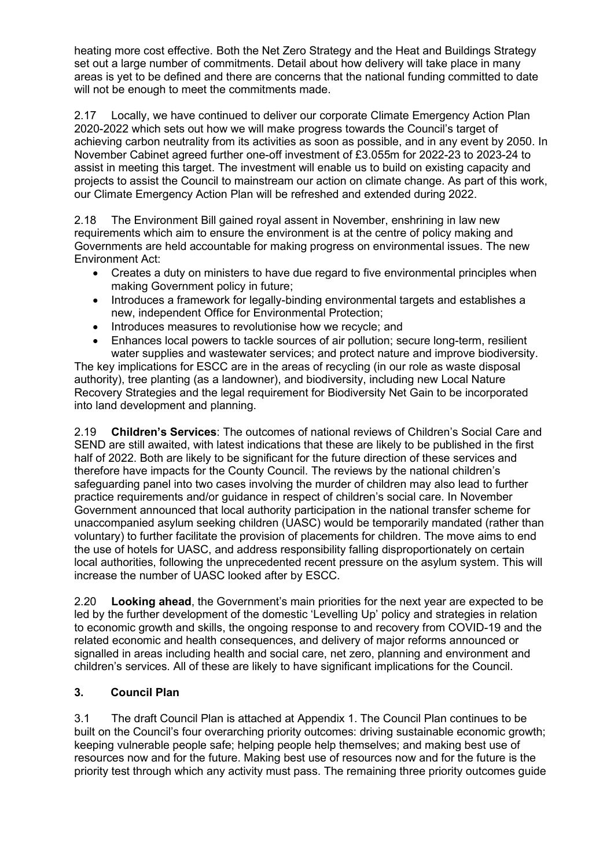heating more cost effective. Both the Net Zero Strategy and the Heat and Buildings Strategy set out a large number of commitments. Detail about how delivery will take place in many areas is yet to be defined and there are concerns that the national funding committed to date will not be enough to meet the commitments made.

2.17 Locally, we have continued to deliver our corporate Climate Emergency Action Plan 2020-2022 which sets out how we will make progress towards the Council's target of achieving carbon neutrality from its activities as soon as possible, and in any event by 2050. In November Cabinet agreed further one-off investment of £3.055m for 2022-23 to 2023-24 to assist in meeting this target. The investment will enable us to build on existing capacity and projects to assist the Council to mainstream our action on climate change. As part of this work, our Climate Emergency Action Plan will be refreshed and extended during 2022.

2.18 The Environment Bill gained royal assent in November, enshrining in law new requirements which aim to ensure the environment is at the centre of policy making and Governments are held accountable for making progress on environmental issues. The new Environment Act:

- Creates a duty on ministers to have due regard to five environmental principles when making Government policy in future;
- Introduces a framework for legally-binding environmental targets and establishes a new, independent Office for Environmental Protection;
- Introduces measures to revolutionise how we recycle; and
- Enhances local powers to tackle sources of air pollution; secure long-term, resilient water supplies and wastewater services; and protect nature and improve biodiversity.

The key implications for ESCC are in the areas of recycling (in our role as waste disposal authority), tree planting (as a landowner), and biodiversity, including new Local Nature Recovery Strategies and the legal requirement for Biodiversity Net Gain to be incorporated into land development and planning.

2.19 **Children's Services**: The outcomes of national reviews of Children's Social Care and SEND are still awaited, with latest indications that these are likely to be published in the first half of 2022. Both are likely to be significant for the future direction of these services and therefore have impacts for the County Council. The reviews by the national children's safeguarding panel into two cases involving the murder of children may also lead to further practice requirements and/or guidance in respect of children's social care. In November Government announced that local authority participation in the national transfer scheme for unaccompanied asylum seeking children (UASC) would be temporarily mandated (rather than voluntary) to further facilitate the provision of placements for children. The move aims to end the use of hotels for UASC, and address responsibility falling disproportionately on certain local authorities, following the unprecedented recent pressure on the asylum system. This will increase the number of UASC looked after by ESCC.

2.20 **Looking ahead**, the Government's main priorities for the next year are expected to be led by the further development of the domestic 'Levelling Up' policy and strategies in relation to economic growth and skills, the ongoing response to and recovery from COVID-19 and the related economic and health consequences, and delivery of major reforms announced or signalled in areas including health and social care, net zero, planning and environment and children's services. All of these are likely to have significant implications for the Council.

### **3. Council Plan**

3.1 The draft Council Plan is attached at Appendix 1. The Council Plan continues to be built on the Council's four overarching priority outcomes: driving sustainable economic growth; keeping vulnerable people safe; helping people help themselves; and making best use of resources now and for the future. Making best use of resources now and for the future is the priority test through which any activity must pass. The remaining three priority outcomes guide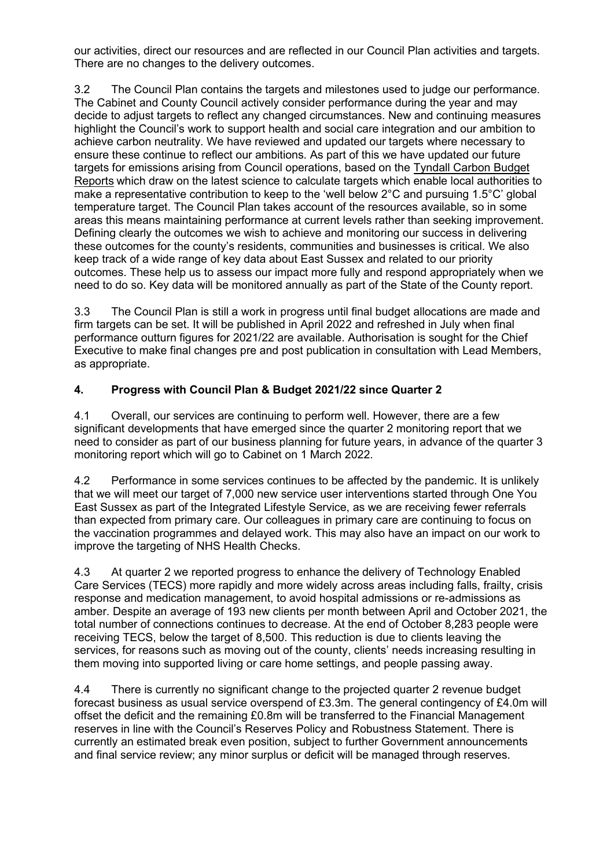our activities, direct our resources and are reflected in our Council Plan activities and targets. There are no changes to the delivery outcomes.

3.2 The Council Plan contains the targets and milestones used to judge our performance. The Cabinet and County Council actively consider performance during the year and may decide to adjust targets to reflect any changed circumstances. New and continuing measures highlight the Council's work to support health and social care integration and our ambition to achieve carbon neutrality. We have reviewed and updated our targets where necessary to ensure these continue to reflect our ambitions. As part of this we have updated our future targets for emissions arising from Council operations, based on the [Tyndall Carbon Budget](https://carbonbudget.manchester.ac.uk/reports/)  [Reports](https://carbonbudget.manchester.ac.uk/reports/) which draw on the latest science to calculate targets which enable local authorities to make a representative contribution to keep to the 'well below 2°C and pursuing 1.5°C' global temperature target. The Council Plan takes account of the resources available, so in some areas this means maintaining performance at current levels rather than seeking improvement. Defining clearly the outcomes we wish to achieve and monitoring our success in delivering these outcomes for the county's residents, communities and businesses is critical. We also keep track of a wide range of key data about East Sussex and related to our priority outcomes. These help us to assess our impact more fully and respond appropriately when we need to do so. Key data will be monitored annually as part of the State of the County report.

3.3 The Council Plan is still a work in progress until final budget allocations are made and firm targets can be set. It will be published in April 2022 and refreshed in July when final performance outturn figures for 2021/22 are available. Authorisation is sought for the Chief Executive to make final changes pre and post publication in consultation with Lead Members, as appropriate.

### **4. Progress with Council Plan & Budget 2021/22 since Quarter 2**

4.1 Overall, our services are continuing to perform well. However, there are a few significant developments that have emerged since the quarter 2 monitoring report that we need to consider as part of our business planning for future years, in advance of the quarter 3 monitoring report which will go to Cabinet on 1 March 2022.

4.2 Performance in some services continues to be affected by the pandemic. It is unlikely that we will meet our target of 7,000 new service user interventions started through One You East Sussex as part of the Integrated Lifestyle Service, as we are receiving fewer referrals than expected from primary care. Our colleagues in primary care are continuing to focus on the vaccination programmes and delayed work. This may also have an impact on our work to improve the targeting of NHS Health Checks.

4.3 At quarter 2 we reported progress to enhance the delivery of Technology Enabled Care Services (TECS) more rapidly and more widely across areas including falls, frailty, crisis response and medication management, to avoid hospital admissions or re-admissions as amber. Despite an average of 193 new clients per month between April and October 2021, the total number of connections continues to decrease. At the end of October 8,283 people were receiving TECS, below the target of 8,500. This reduction is due to clients leaving the services, for reasons such as moving out of the county, clients' needs increasing resulting in them moving into supported living or care home settings, and people passing away.

4.4 There is currently no significant change to the projected quarter 2 revenue budget forecast business as usual service overspend of £3.3m. The general contingency of £4.0m will offset the deficit and the remaining £0.8m will be transferred to the Financial Management reserves in line with the Council's Reserves Policy and Robustness Statement. There is currently an estimated break even position, subject to further Government announcements and final service review; any minor surplus or deficit will be managed through reserves.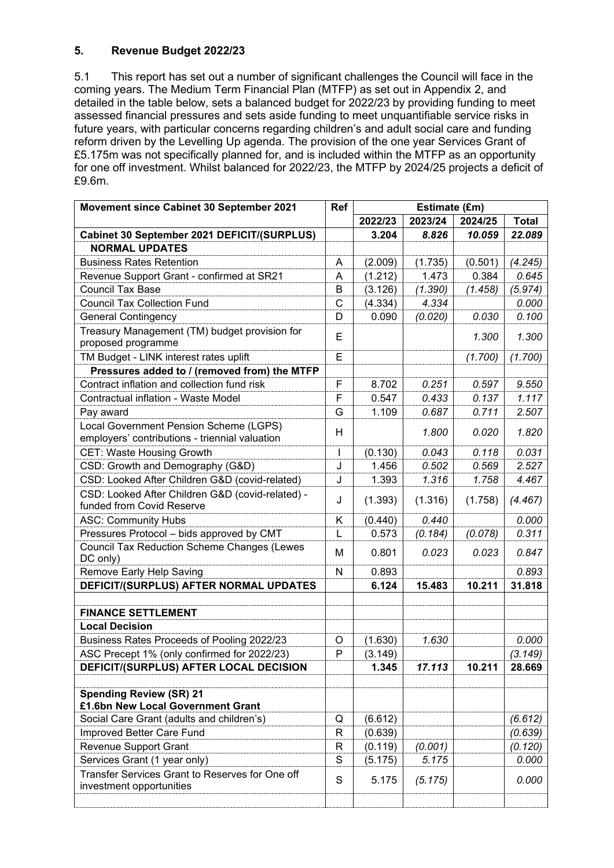### **5. Revenue Budget 2022/23**

5.1 This report has set out a number of significant challenges the Council will face in the coming years. The Medium Term Financial Plan (MTFP) as set out in Appendix 2, and detailed in the table below, sets a balanced budget for 2022/23 by providing funding to meet assessed financial pressures and sets aside funding to meet unquantifiable service risks in future years, with particular concerns regarding children's and adult social care and funding reform driven by the Levelling Up agenda. The provision of the one year Services Grant of £5.175m was not specifically planned for, and is included within the MTFP as an opportunity for one off investment. Whilst balanced for 2022/23, the MTFP by 2024/25 projects a deficit of £9.6m.

| Movement since Cabinet 30 September 2021                                                 | Ref<br>Estimate (£m) |         |         |         |              |
|------------------------------------------------------------------------------------------|----------------------|---------|---------|---------|--------------|
|                                                                                          |                      | 2022/23 | 2023/24 | 2024/25 | <b>Total</b> |
| Cabinet 30 September 2021 DEFICIT/(SURPLUS)                                              |                      | 3.204   | 8.826   | 10.059  | 22.089       |
| <b>NORMAL UPDATES</b>                                                                    |                      |         |         |         |              |
| <b>Business Rates Retention</b>                                                          | A                    | (2.009) | (1.735) | (0.501) | (4.245)      |
| Revenue Support Grant - confirmed at SR21                                                | A                    | (1.212) | 1.473   | 0.384   | 0.645        |
| <b>Council Tax Base</b>                                                                  | B                    | (3.126) | (1.390) | (1.458) | (5.974)      |
| <b>Council Tax Collection Fund</b>                                                       | C                    | (4.334) | 4.334   |         | 0.000        |
| <b>General Contingency</b>                                                               | D                    | 0.090   | (0.020) | 0.030   | 0.100        |
| Treasury Management (TM) budget provision for<br>proposed programme                      | E                    |         |         | 1.300   | 1.300        |
| TM Budget - LINK interest rates uplift                                                   | Е                    |         |         | (1.700) | (1.700)      |
| Pressures added to / (removed from) the MTFP                                             |                      |         |         |         |              |
| Contract inflation and collection fund risk                                              | F                    | 8.702   | 0.251   | 0.597   | 9.550        |
| Contractual inflation - Waste Model                                                      | F                    | 0.547   | 0.433   | 0.137   | 1.117        |
| Pay award                                                                                | G                    | 1.109   | 0.687   | 0.711   | 2.507        |
| Local Government Pension Scheme (LGPS)<br>employers' contributions - triennial valuation | H                    |         | 1.800   | 0.020   | 1.820        |
| <b>CET: Waste Housing Growth</b>                                                         | I                    | (0.130) | 0.043   | 0.118   | 0.031        |
| CSD: Growth and Demography (G&D)                                                         | J                    | 1.456   | 0.502   | 0.569   | 2.527        |
| CSD: Looked After Children G&D (covid-related)                                           | J                    | 1.393   | 1.316   | 1.758   | 4.467        |
| CSD: Looked After Children G&D (covid-related) -<br>funded from Covid Reserve            | J                    | (1.393) | (1.316) | (1.758) | (4.467)      |
| <b>ASC: Community Hubs</b>                                                               | Κ                    | (0.440) | 0.440   |         | 0.000        |
| Pressures Protocol - bids approved by CMT                                                | L                    | 0.573   | (0.184) | (0.078) | 0.311        |
| <b>Council Tax Reduction Scheme Changes (Lewes</b><br>DC only)                           | М                    | 0.801   | 0.023   | 0.023   | 0.847        |
| Remove Early Help Saving                                                                 | N                    | 0.893   |         |         | 0.893        |
| DEFICIT/(SURPLUS) AFTER NORMAL UPDATES                                                   |                      | 6.124   | 15.483  | 10.211  | 31.818       |
|                                                                                          |                      |         |         |         |              |
| <b>FINANCE SETTLEMENT</b>                                                                |                      |         |         |         |              |
| <b>Local Decision</b>                                                                    |                      |         |         |         |              |
| Business Rates Proceeds of Pooling 2022/23                                               | O                    | (1.630) | 1.630   |         | 0.000        |
| ASC Precept 1% (only confirmed for 2022/23)                                              | P                    | (3.149) |         |         | (3.149)      |
| DEFICIT/(SURPLUS) AFTER LOCAL DECISION                                                   |                      | 1.345   | 17.113  | 10.211  | 28.669       |
|                                                                                          |                      |         |         |         |              |
| <b>Spending Review (SR) 21</b><br>£1.6bn New Local Government Grant                      |                      |         |         |         |              |
| Social Care Grant (adults and children's)                                                | Q                    | (6.612) |         |         | (6.612)      |
| Improved Better Care Fund                                                                | R                    | (0.639) |         |         | (0.639)      |
| <b>Revenue Support Grant</b>                                                             | R                    | (0.119) | (0.001) |         | (0.120)      |
| Services Grant (1 year only)                                                             | S                    | (5.175) | 5.175   |         | 0.000        |
| Transfer Services Grant to Reserves for One off<br>investment opportunities              | S                    | 5.175   | (5.175) |         | 0.000        |
|                                                                                          |                      |         |         |         |              |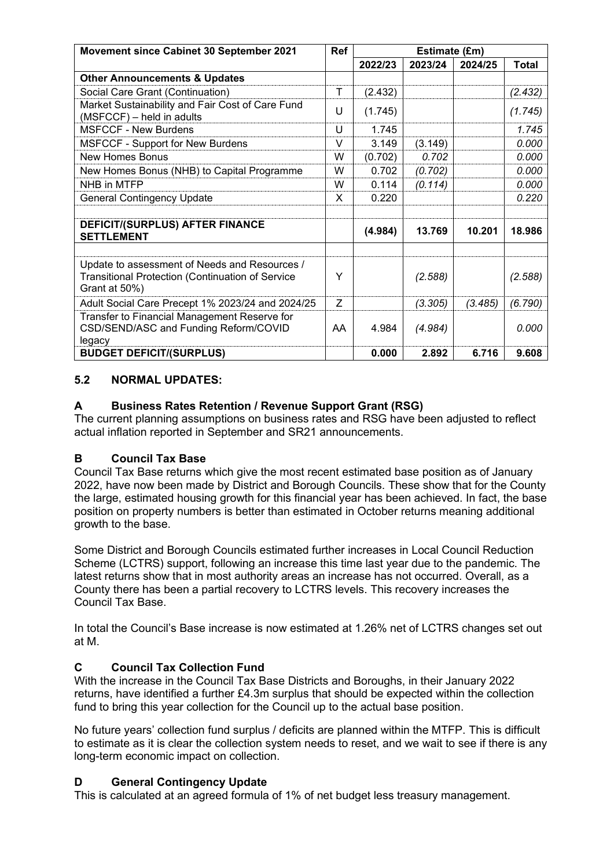| Movement since Cabinet 30 September 2021                                                                                  |        | Estimate (£m) |         |         |              |
|---------------------------------------------------------------------------------------------------------------------------|--------|---------------|---------|---------|--------------|
|                                                                                                                           |        | 2022/23       | 2023/24 | 2024/25 | <b>Total</b> |
| <b>Other Announcements &amp; Updates</b>                                                                                  |        |               |         |         |              |
| Social Care Grant (Continuation)                                                                                          | T      | (2.432)       |         |         | (2.432)      |
| Market Sustainability and Fair Cost of Care Fund<br>(MSFCCF) - held in adults                                             | U      | (1.745)       |         |         | (1.745)      |
| <b>MSFCCF - New Burdens</b>                                                                                               | U      | 1.745         |         |         | 1.745        |
| <b>MSFCCF - Support for New Burdens</b>                                                                                   | $\vee$ | 3.149         | (3.149) |         | 0.000        |
| <b>New Homes Bonus</b>                                                                                                    | W      | (0.702)       | 0.702   |         | 0.000        |
| New Homes Bonus (NHB) to Capital Programme                                                                                | W      | 0.702         | (0.702) |         | 0.000        |
| NHB in MTFP                                                                                                               | W      | 0.114         | (0.114) |         | 0.000        |
| <b>General Contingency Update</b>                                                                                         | X      | 0.220         |         |         | 0.220        |
|                                                                                                                           |        |               |         |         |              |
| DEFICIT/(SURPLUS) AFTER FINANCE<br><b>SETTLEMENT</b>                                                                      |        | (4.984)       | 13.769  | 10.201  | 18.986       |
|                                                                                                                           |        |               |         |         |              |
| Update to assessment of Needs and Resources /<br><b>Transitional Protection (Continuation of Service</b><br>Grant at 50%) | Y      |               | (2.588) |         | (2.588)      |
| Adult Social Care Precept 1% 2023/24 and 2024/25                                                                          | Z      |               | (3.305) | (3.485) | (6.790)      |
| Transfer to Financial Management Reserve for<br>CSD/SEND/ASC and Funding Reform/COVID<br>legacy                           | AA     | 4.984         | (4.984) |         | 0.000        |
| <b>BUDGET DEFICIT/(SURPLUS)</b>                                                                                           |        | 0.000         | 2.892   | 6.716   | 9.608        |

### **5.2 NORMAL UPDATES:**

### **A Business Rates Retention / Revenue Support Grant (RSG)**

The current planning assumptions on business rates and RSG have been adjusted to reflect actual inflation reported in September and SR21 announcements.

### **B Council Tax Base**

Council Tax Base returns which give the most recent estimated base position as of January 2022, have now been made by District and Borough Councils. These show that for the County the large, estimated housing growth for this financial year has been achieved. In fact, the base position on property numbers is better than estimated in October returns meaning additional growth to the base.

Some District and Borough Councils estimated further increases in Local Council Reduction Scheme (LCTRS) support, following an increase this time last year due to the pandemic. The latest returns show that in most authority areas an increase has not occurred. Overall, as a County there has been a partial recovery to LCTRS levels. This recovery increases the Council Tax Base.

In total the Council's Base increase is now estimated at 1.26% net of LCTRS changes set out at M.

### **C Council Tax Collection Fund**

With the increase in the Council Tax Base Districts and Boroughs, in their January 2022 returns, have identified a further £4.3m surplus that should be expected within the collection fund to bring this year collection for the Council up to the actual base position.

No future years' collection fund surplus / deficits are planned within the MTFP. This is difficult to estimate as it is clear the collection system needs to reset, and we wait to see if there is any long-term economic impact on collection.

#### **D General Contingency Update**

This is calculated at an agreed formula of 1% of net budget less treasury management.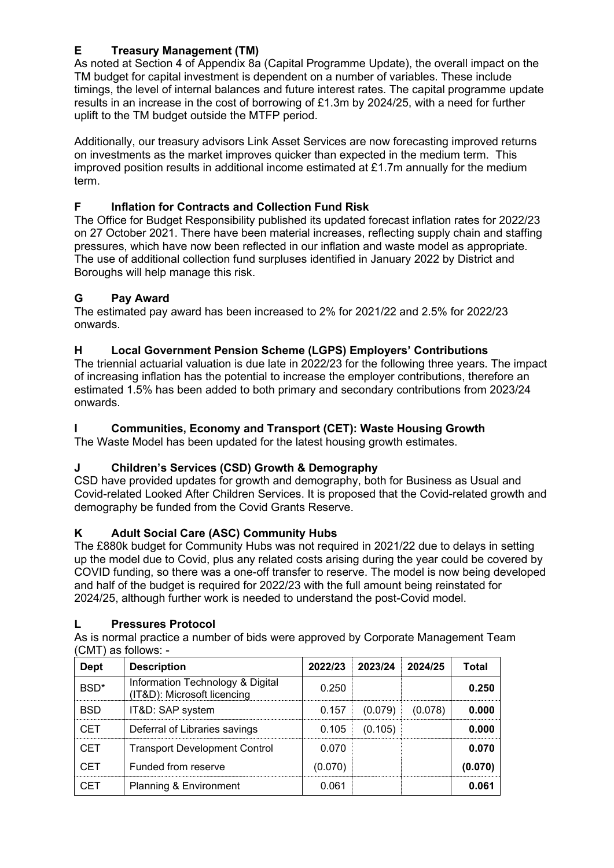# **E Treasury Management (TM)**

As noted at Section 4 of Appendix 8a (Capital Programme Update), the overall impact on the TM budget for capital investment is dependent on a number of variables. These include timings, the level of internal balances and future interest rates. The capital programme update results in an increase in the cost of borrowing of £1.3m by 2024/25, with a need for further uplift to the TM budget outside the MTFP period.

Additionally, our treasury advisors Link Asset Services are now forecasting improved returns on investments as the market improves quicker than expected in the medium term. This improved position results in additional income estimated at £1.7m annually for the medium term.

## **F Inflation for Contracts and Collection Fund Risk**

The Office for Budget Responsibility published its updated forecast inflation rates for 2022/23 on 27 October 2021. There have been material increases, reflecting supply chain and staffing pressures, which have now been reflected in our inflation and waste model as appropriate. The use of additional collection fund surpluses identified in January 2022 by District and Boroughs will help manage this risk.

## **G Pay Award**

The estimated pay award has been increased to 2% for 2021/22 and 2.5% for 2022/23 onwards.

## **H Local Government Pension Scheme (LGPS) Employers' Contributions**

The triennial actuarial valuation is due late in 2022/23 for the following three years. The impact of increasing inflation has the potential to increase the employer contributions, therefore an estimated 1.5% has been added to both primary and secondary contributions from 2023/24 onwards.

## **I Communities, Economy and Transport (CET): Waste Housing Growth**

The Waste Model has been updated for the latest housing growth estimates.

### **J Children's Services (CSD) Growth & Demography**

CSD have provided updates for growth and demography, both for Business as Usual and Covid-related Looked After Children Services. It is proposed that the Covid-related growth and demography be funded from the Covid Grants Reserve.

### **K Adult Social Care (ASC) Community Hubs**

The £880k budget for Community Hubs was not required in 2021/22 due to delays in setting up the model due to Covid, plus any related costs arising during the year could be covered by COVID funding, so there was a one-off transfer to reserve. The model is now being developed and half of the budget is required for 2022/23 with the full amount being reinstated for 2024/25, although further work is needed to understand the post-Covid model.

### **L Pressures Protocol**

As is normal practice a number of bids were approved by Corporate Management Team (CMT) as follows: -

| <b>Dept</b>      | <b>Description</b>                                              |         | 2022/23 2023/24 | 2024/25 | Total  |
|------------------|-----------------------------------------------------------------|---------|-----------------|---------|--------|
| BSD <sup>*</sup> | Information Technology & Digital<br>(IT&D): Microsoft licencing | 0.250   |                 |         | 0.250  |
| <b>BSD</b>       | IT&D: SAP system                                                | 0.157   | (0.079)         | (0.078) | 0.000  |
| <b>CET</b>       | Deferral of Libraries savings                                   | 0.105   | (0.105)         |         | 0.000  |
| <b>CET</b>       | <b>Transport Development Control</b>                            | 0.070   |                 |         | 0.070  |
| <b>CET</b>       | Funded from reserve                                             | (0.070) |                 |         | (0.070 |
| CET              | Planning & Environment                                          | 0.061   |                 |         | 0.061  |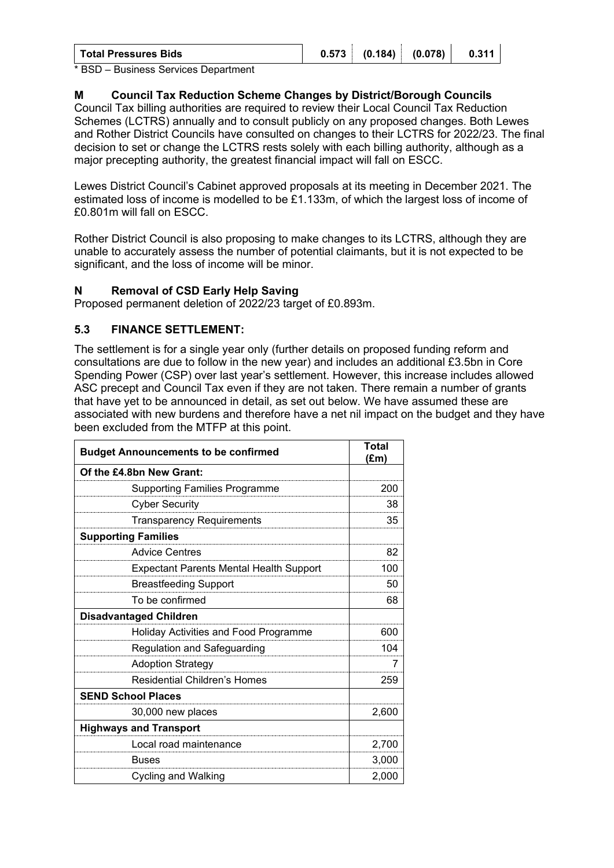| (0.078)<br>0.573<br>(0.184)<br>0.311<br><b>Total Pressures Bids</b> |
|---------------------------------------------------------------------|
|---------------------------------------------------------------------|

\* BSD – Business Services Department

#### **M Council Tax Reduction Scheme Changes by District/Borough Councils**

Council Tax billing authorities are required to review their Local Council Tax Reduction Schemes (LCTRS) annually and to consult publicly on any proposed changes. Both Lewes and Rother District Councils have consulted on changes to their LCTRS for 2022/23. The final decision to set or change the LCTRS rests solely with each billing authority, although as a major precepting authority, the greatest financial impact will fall on ESCC.

Lewes District Council's Cabinet approved proposals at its meeting in December 2021. The estimated loss of income is modelled to be £1.133m, of which the largest loss of income of £0.801m will fall on ESCC.

Rother District Council is also proposing to make changes to its LCTRS, although they are unable to accurately assess the number of potential claimants, but it is not expected to be significant, and the loss of income will be minor.

#### **N Removal of CSD Early Help Saving**

Proposed permanent deletion of 2022/23 target of £0.893m.

#### **5.3 FINANCE SETTLEMENT:**

The settlement is for a single year only (further details on proposed funding reform and consultations are due to follow in the new year) and includes an additional £3.5bn in Core Spending Power (CSP) over last year's settlement. However, this increase includes allowed ASC precept and Council Tax even if they are not taken. There remain a number of grants that have yet to be announced in detail, as set out below. We have assumed these are associated with new burdens and therefore have a net nil impact on the budget and they have been excluded from the MTFP at this point.

| <b>Budget Announcements to be confirmed</b>    | Total<br>(£m) |
|------------------------------------------------|---------------|
| Of the £4.8bn New Grant:                       |               |
| <b>Supporting Families Programme</b>           | 200           |
| <b>Cyber Security</b>                          | 38            |
| <b>Transparency Requirements</b>               | 35            |
| <b>Supporting Families</b>                     |               |
| <b>Advice Centres</b>                          | 82            |
| <b>Expectant Parents Mental Health Support</b> | 100           |
| <b>Breastfeeding Support</b>                   | 50            |
| To be confirmed                                | 68            |
| <b>Disadvantaged Children</b>                  |               |
| Holiday Activities and Food Programme          | 600           |
| Regulation and Safeguarding                    | 104           |
| <b>Adoption Strategy</b>                       | 7             |
| <b>Residential Children's Homes</b>            | 259           |
| <b>SEND School Places</b>                      |               |
| 30,000 new places                              | 2,600         |
| <b>Highways and Transport</b>                  |               |
| Local road maintenance                         | 2,700         |
| Buses                                          | 3,000         |
| Cycling and Walking                            | 2,000         |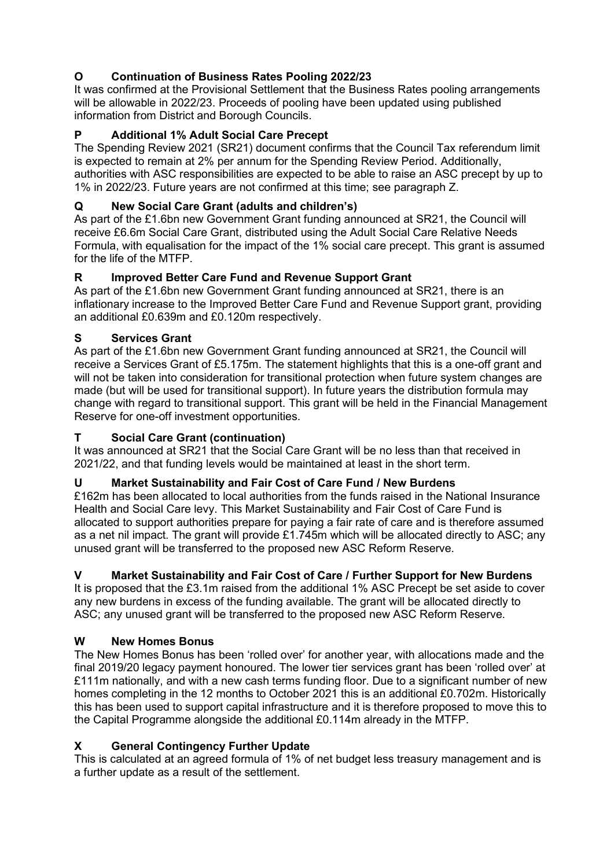# **O Continuation of Business Rates Pooling 2022/23**

It was confirmed at the Provisional Settlement that the Business Rates pooling arrangements will be allowable in 2022/23. Proceeds of pooling have been updated using published information from District and Borough Councils.

## **P Additional 1% Adult Social Care Precept**

The Spending Review 2021 (SR21) document confirms that the Council Tax referendum limit is expected to remain at 2% per annum for the Spending Review Period. Additionally, authorities with ASC responsibilities are expected to be able to raise an ASC precept by up to 1% in 2022/23. Future years are not confirmed at this time; see paragraph Z.

## **Q New Social Care Grant (adults and children's)**

As part of the £1.6bn new Government Grant funding announced at SR21, the Council will receive £6.6m Social Care Grant, distributed using the Adult Social Care Relative Needs Formula, with equalisation for the impact of the 1% social care precept. This grant is assumed for the life of the MTFP.

## **R Improved Better Care Fund and Revenue Support Grant**

As part of the £1.6bn new Government Grant funding announced at SR21, there is an inflationary increase to the Improved Better Care Fund and Revenue Support grant, providing an additional £0.639m and £0.120m respectively.

## **S Services Grant**

As part of the £1.6bn new Government Grant funding announced at SR21, the Council will receive a Services Grant of £5.175m. The statement highlights that this is a one-off grant and will not be taken into consideration for transitional protection when future system changes are made (but will be used for transitional support). In future years the distribution formula may change with regard to transitional support. This grant will be held in the Financial Management Reserve for one-off investment opportunities.

### **T Social Care Grant (continuation)**

It was announced at SR21 that the Social Care Grant will be no less than that received in 2021/22, and that funding levels would be maintained at least in the short term.

### **U Market Sustainability and Fair Cost of Care Fund / New Burdens**

£162m has been allocated to local authorities from the funds raised in the National Insurance Health and Social Care levy. This Market Sustainability and Fair Cost of Care Fund is allocated to support authorities prepare for paying a fair rate of care and is therefore assumed as a net nil impact. The grant will provide £1.745m which will be allocated directly to ASC; any unused grant will be transferred to the proposed new ASC Reform Reserve.

# **V Market Sustainability and Fair Cost of Care / Further Support for New Burdens**

It is proposed that the £3.1m raised from the additional 1% ASC Precept be set aside to cover any new burdens in excess of the funding available. The grant will be allocated directly to ASC; any unused grant will be transferred to the proposed new ASC Reform Reserve.

### **W New Homes Bonus**

The New Homes Bonus has been 'rolled over' for another year, with allocations made and the final 2019/20 legacy payment honoured. The lower tier services grant has been 'rolled over' at £111m nationally, and with a new cash terms funding floor. Due to a significant number of new homes completing in the 12 months to October 2021 this is an additional £0.702m. Historically this has been used to support capital infrastructure and it is therefore proposed to move this to the Capital Programme alongside the additional £0.114m already in the MTFP.

### **X General Contingency Further Update**

This is calculated at an agreed formula of 1% of net budget less treasury management and is a further update as a result of the settlement.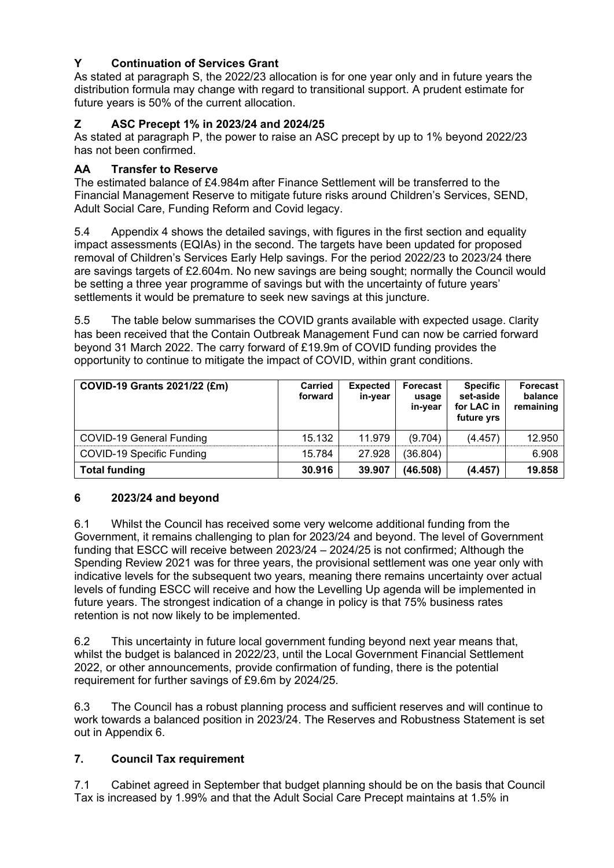## **Y Continuation of Services Grant**

As stated at paragraph S, the 2022/23 allocation is for one year only and in future years the distribution formula may change with regard to transitional support. A prudent estimate for future years is 50% of the current allocation.

## **Z ASC Precept 1% in 2023/24 and 2024/25**

As stated at paragraph P, the power to raise an ASC precept by up to 1% beyond 2022/23 has not been confirmed.

#### **AA Transfer to Reserve**

The estimated balance of £4.984m after Finance Settlement will be transferred to the Financial Management Reserve to mitigate future risks around Children's Services, SEND, Adult Social Care, Funding Reform and Covid legacy.

5.4 Appendix 4 shows the detailed savings, with figures in the first section and equality impact assessments (EQIAs) in the second. The targets have been updated for proposed removal of Children's Services Early Help savings. For the period 2022/23 to 2023/24 there are savings targets of £2.604m. No new savings are being sought; normally the Council would be setting a three year programme of savings but with the uncertainty of future years' settlements it would be premature to seek new savings at this juncture.

5.5 The table below summarises the COVID grants available with expected usage. Clarity has been received that the Contain Outbreak Management Fund can now be carried forward beyond 31 March 2022. The carry forward of £19.9m of COVID funding provides the opportunity to continue to mitigate the impact of COVID, within grant conditions.

| <b>COVID-19 Grants 2021/22 (£m)</b> | <b>Carried</b><br>forward | <b>Expected</b><br>in-year | <b>Forecast</b><br>usage<br>in-vear | <b>Specific</b><br>set-aside<br>for LAC in<br>future yrs | <b>Forecast</b><br>balance<br>remaining |
|-------------------------------------|---------------------------|----------------------------|-------------------------------------|----------------------------------------------------------|-----------------------------------------|
| COVID-19 General Funding            | 15.132                    | 11.979                     | (9.704)                             | (4.457)                                                  | 12.950                                  |
| COVID-19 Specific Funding           | 15.784                    | 27.928                     | (36.804)                            |                                                          | 6.908                                   |
| <b>Total funding</b>                | 30,916                    | 39,907                     | (46.508)                            | (4.457)                                                  | 19.858                                  |

### **6 2023/24 and beyond**

6.1 Whilst the Council has received some very welcome additional funding from the Government, it remains challenging to plan for 2023/24 and beyond. The level of Government funding that ESCC will receive between 2023/24 – 2024/25 is not confirmed; Although the Spending Review 2021 was for three years, the provisional settlement was one year only with indicative levels for the subsequent two years, meaning there remains uncertainty over actual levels of funding ESCC will receive and how the Levelling Up agenda will be implemented in future years. The strongest indication of a change in policy is that 75% business rates retention is not now likely to be implemented.

6.2 This uncertainty in future local government funding beyond next year means that, whilst the budget is balanced in 2022/23, until the Local Government Financial Settlement 2022, or other announcements, provide confirmation of funding, there is the potential requirement for further savings of £9.6m by 2024/25.

6.3 The Council has a robust planning process and sufficient reserves and will continue to work towards a balanced position in 2023/24. The Reserves and Robustness Statement is set out in Appendix 6.

### **7. Council Tax requirement**

7.1 Cabinet agreed in September that budget planning should be on the basis that Council Tax is increased by 1.99% and that the Adult Social Care Precept maintains at 1.5% in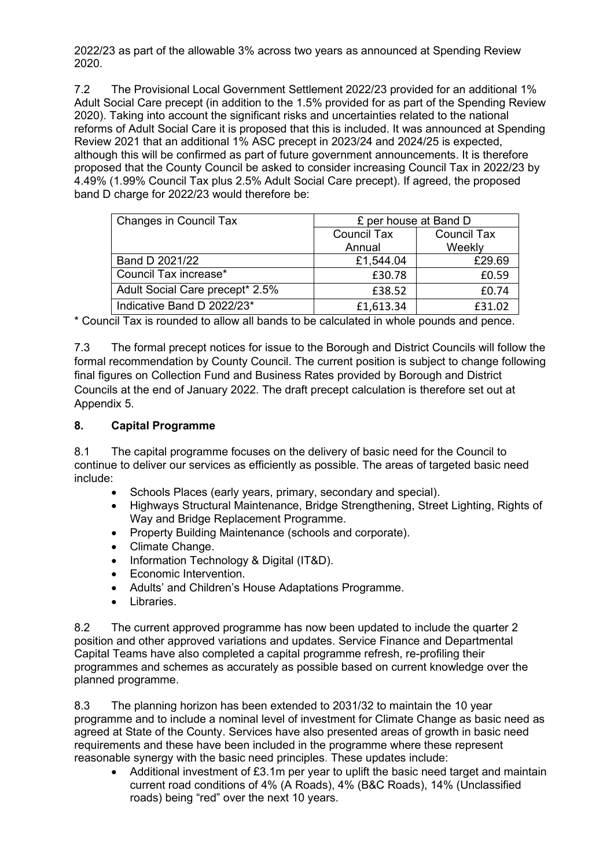2022/23 as part of the allowable 3% across two years as announced at Spending Review 2020.

7.2 The Provisional Local Government Settlement 2022/23 provided for an additional 1% Adult Social Care precept (in addition to the 1.5% provided for as part of the Spending Review 2020). Taking into account the significant risks and uncertainties related to the national reforms of Adult Social Care it is proposed that this is included. It was announced at Spending Review 2021 that an additional 1% ASC precept in 2023/24 and 2024/25 is expected, although this will be confirmed as part of future government announcements. It is therefore proposed that the County Council be asked to consider increasing Council Tax in 2022/23 by 4.49% (1.99% Council Tax plus 2.5% Adult Social Care precept). If agreed, the proposed band D charge for 2022/23 would therefore be:

| Changes in Council Tax          | £ per house at Band D |                    |  |
|---------------------------------|-----------------------|--------------------|--|
|                                 | <b>Council Tax</b>    | <b>Council Tax</b> |  |
|                                 | Annual                | Weekly             |  |
| Band D 2021/22                  | £1,544.04             | £29.69             |  |
| Council Tax increase*           | £30.78                | £0.59              |  |
| Adult Social Care precept* 2.5% | £38.52                | £0.74              |  |
| Indicative Band D 2022/23*      | £1,613.34             | £31.02             |  |

\* Council Tax is rounded to allow all bands to be calculated in whole pounds and pence.

7.3 The formal precept notices for issue to the Borough and District Councils will follow the formal recommendation by County Council. The current position is subject to change following final figures on Collection Fund and Business Rates provided by Borough and District Councils at the end of January 2022. The draft precept calculation is therefore set out at Appendix 5.

#### **8. Capital Programme**

8.1 The capital programme focuses on the delivery of basic need for the Council to continue to deliver our services as efficiently as possible. The areas of targeted basic need include:

- Schools Places (early years, primary, secondary and special).
- Highways Structural Maintenance, Bridge Strengthening, Street Lighting, Rights of Way and Bridge Replacement Programme.
- Property Building Maintenance (schools and corporate).
- Climate Change.
- Information Technology & Digital (IT&D).
- Economic Intervention.
- Adults' and Children's House Adaptations Programme.
- Libraries.

8.2 The current approved programme has now been updated to include the quarter 2 position and other approved variations and updates. Service Finance and Departmental Capital Teams have also completed a capital programme refresh, re-profiling their programmes and schemes as accurately as possible based on current knowledge over the planned programme.

8.3 The planning horizon has been extended to 2031/32 to maintain the 10 year programme and to include a nominal level of investment for Climate Change as basic need as agreed at State of the County. Services have also presented areas of growth in basic need requirements and these have been included in the programme where these represent reasonable synergy with the basic need principles. These updates include:

• Additional investment of £3.1m per year to uplift the basic need target and maintain current road conditions of 4% (A Roads), 4% (B&C Roads), 14% (Unclassified roads) being "red" over the next 10 years.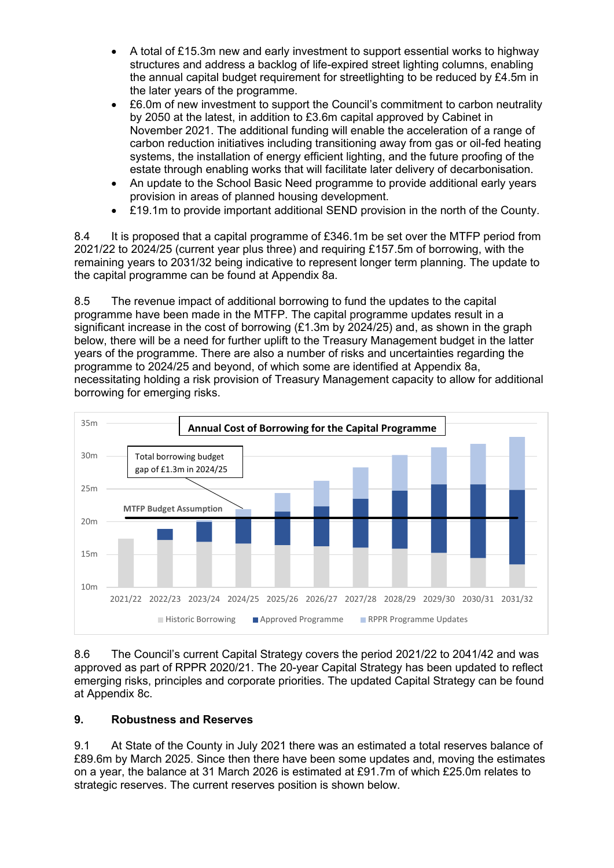- A total of £15.3m new and early investment to support essential works to highway structures and address a backlog of life-expired street lighting columns, enabling the annual capital budget requirement for streetlighting to be reduced by £4.5m in the later years of the programme.
- £6.0m of new investment to support the Council's commitment to carbon neutrality by 2050 at the latest, in addition to £3.6m capital approved by Cabinet in November 2021. The additional funding will enable the acceleration of a range of carbon reduction initiatives including transitioning away from gas or oil-fed heating systems, the installation of energy efficient lighting, and the future proofing of the estate through enabling works that will facilitate later delivery of decarbonisation.
- An update to the School Basic Need programme to provide additional early years provision in areas of planned housing development.
- £19.1m to provide important additional SEND provision in the north of the County.

8.4 It is proposed that a capital programme of £346.1m be set over the MTFP period from 2021/22 to 2024/25 (current year plus three) and requiring £157.5m of borrowing, with the remaining years to 2031/32 being indicative to represent longer term planning. The update to the capital programme can be found at Appendix 8a.

8.5 The revenue impact of additional borrowing to fund the updates to the capital programme have been made in the MTFP. The capital programme updates result in a significant increase in the cost of borrowing (£1.3m by 2024/25) and, as shown in the graph below, there will be a need for further uplift to the Treasury Management budget in the latter years of the programme. There are also a number of risks and uncertainties regarding the programme to 2024/25 and beyond, of which some are identified at Appendix 8a, necessitating holding a risk provision of Treasury Management capacity to allow for additional borrowing for emerging risks.



8.6 The Council's current Capital Strategy covers the period 2021/22 to 2041/42 and was approved as part of RPPR 2020/21. The 20-year Capital Strategy has been updated to reflect emerging risks, principles and corporate priorities. The updated Capital Strategy can be found at Appendix 8c.

### **9. Robustness and Reserves**

9.1 At State of the County in July 2021 there was an estimated a total reserves balance of £89.6m by March 2025. Since then there have been some updates and, moving the estimates on a year, the balance at 31 March 2026 is estimated at £91.7m of which £25.0m relates to strategic reserves. The current reserves position is shown below.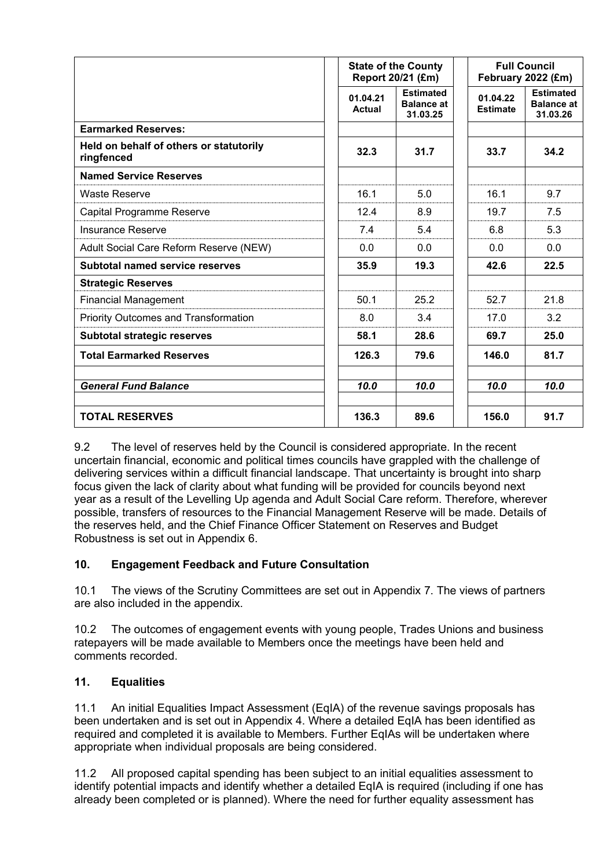|                                                       | <b>State of the County</b><br>Report 20/21 (£m) |                                                   | <b>Full Council</b><br>February 2022 (£m) |                                                   |  |
|-------------------------------------------------------|-------------------------------------------------|---------------------------------------------------|-------------------------------------------|---------------------------------------------------|--|
|                                                       | 01.04.21<br>Actual                              | <b>Estimated</b><br><b>Balance at</b><br>31.03.25 | 01.04.22<br><b>Estimate</b>               | <b>Estimated</b><br><b>Balance at</b><br>31.03.26 |  |
| <b>Earmarked Reserves:</b>                            |                                                 |                                                   |                                           |                                                   |  |
| Held on behalf of others or statutorily<br>ringfenced | 32.3                                            | 31.7                                              | 33.7                                      | 34.2                                              |  |
| <b>Named Service Reserves</b>                         |                                                 |                                                   |                                           |                                                   |  |
| <b>Waste Reserve</b>                                  | 16.1                                            | 5.0                                               | 16.1                                      | 9.7                                               |  |
| Capital Programme Reserve                             | 12.4                                            | 8.9                                               | 19.7                                      | 7.5                                               |  |
| <b>Insurance Reserve</b>                              | 7.4                                             | 5.4                                               | 6.8                                       | 5.3                                               |  |
| Adult Social Care Reform Reserve (NEW)                | 0.0                                             | 0.0                                               | 0.0                                       | 0.0                                               |  |
| Subtotal named service reserves                       | 35.9                                            | 19.3                                              | 42.6                                      | 22.5                                              |  |
| <b>Strategic Reserves</b>                             |                                                 |                                                   |                                           |                                                   |  |
| <b>Financial Management</b>                           | 50.1                                            | 25.2                                              | 52.7                                      | 21.8                                              |  |
| <b>Priority Outcomes and Transformation</b>           | 8.0                                             | 3.4                                               | 17.0                                      | 3.2                                               |  |
| <b>Subtotal strategic reserves</b>                    | 58.1                                            | 28.6                                              | 69.7                                      | 25.0                                              |  |
| <b>Total Earmarked Reserves</b>                       | 126.3                                           | 79.6                                              | 146.0                                     | 81.7                                              |  |
| <b>General Fund Balance</b>                           | 10.0                                            | 10.0                                              | 10.0                                      | 10.0                                              |  |
| <b>TOTAL RESERVES</b>                                 | 136.3                                           | 89.6                                              | 156.0                                     | 91.7                                              |  |

9.2 The level of reserves held by the Council is considered appropriate. In the recent uncertain financial, economic and political times councils have grappled with the challenge of delivering services within a difficult financial landscape. That uncertainty is brought into sharp focus given the lack of clarity about what funding will be provided for councils beyond next year as a result of the Levelling Up agenda and Adult Social Care reform. Therefore, wherever possible, transfers of resources to the Financial Management Reserve will be made. Details of the reserves held, and the Chief Finance Officer Statement on Reserves and Budget Robustness is set out in Appendix 6.

### **10. Engagement Feedback and Future Consultation**

10.1 The views of the Scrutiny Committees are set out in Appendix 7. The views of partners are also included in the appendix.

10.2 The outcomes of engagement events with young people, Trades Unions and business ratepayers will be made available to Members once the meetings have been held and comments recorded.

### **11. Equalities**

11.1 An initial Equalities Impact Assessment (EqIA) of the revenue savings proposals has been undertaken and is set out in Appendix 4. Where a detailed EqIA has been identified as required and completed it is available to Members. Further EqIAs will be undertaken where appropriate when individual proposals are being considered.

11.2 All proposed capital spending has been subject to an initial equalities assessment to identify potential impacts and identify whether a detailed EqIA is required (including if one has already been completed or is planned). Where the need for further equality assessment has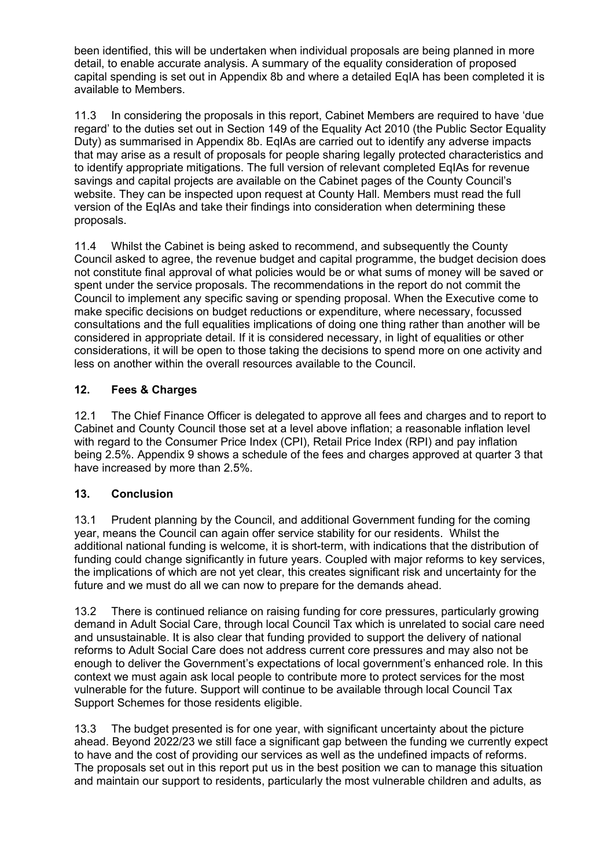been identified, this will be undertaken when individual proposals are being planned in more detail, to enable accurate analysis. A summary of the equality consideration of proposed capital spending is set out in Appendix 8b and where a detailed EqIA has been completed it is available to Members.

11.3 In considering the proposals in this report, Cabinet Members are required to have 'due regard' to the duties set out in Section 149 of the Equality Act 2010 (the Public Sector Equality Duty) as summarised in Appendix 8b. EqIAs are carried out to identify any adverse impacts that may arise as a result of proposals for people sharing legally protected characteristics and to identify appropriate mitigations. The full version of relevant completed EqIAs for revenue savings and capital projects are available on the Cabinet pages of the County Council's website. They can be inspected upon request at County Hall. Members must read the full version of the EqIAs and take their findings into consideration when determining these proposals.

11.4 Whilst the Cabinet is being asked to recommend, and subsequently the County Council asked to agree, the revenue budget and capital programme, the budget decision does not constitute final approval of what policies would be or what sums of money will be saved or spent under the service proposals. The recommendations in the report do not commit the Council to implement any specific saving or spending proposal. When the Executive come to make specific decisions on budget reductions or expenditure, where necessary, focussed consultations and the full equalities implications of doing one thing rather than another will be considered in appropriate detail. If it is considered necessary, in light of equalities or other considerations, it will be open to those taking the decisions to spend more on one activity and less on another within the overall resources available to the Council.

## **12. Fees & Charges**

12.1 The Chief Finance Officer is delegated to approve all fees and charges and to report to Cabinet and County Council those set at a level above inflation; a reasonable inflation level with regard to the Consumer Price Index (CPI), Retail Price Index (RPI) and pay inflation being 2.5%. Appendix 9 shows a schedule of the fees and charges approved at quarter 3 that have increased by more than 2.5%.

### **13. Conclusion**

13.1 Prudent planning by the Council, and additional Government funding for the coming year, means the Council can again offer service stability for our residents. Whilst the additional national funding is welcome, it is short-term, with indications that the distribution of funding could change significantly in future years. Coupled with major reforms to key services, the implications of which are not yet clear, this creates significant risk and uncertainty for the future and we must do all we can now to prepare for the demands ahead.

13.2 There is continued reliance on raising funding for core pressures, particularly growing demand in Adult Social Care, through local Council Tax which is unrelated to social care need and unsustainable. It is also clear that funding provided to support the delivery of national reforms to Adult Social Care does not address current core pressures and may also not be enough to deliver the Government's expectations of local government's enhanced role. In this context we must again ask local people to contribute more to protect services for the most vulnerable for the future. Support will continue to be available through local Council Tax Support Schemes for those residents eligible.

13.3 The budget presented is for one year, with significant uncertainty about the picture ahead. Beyond 2022/23 we still face a significant gap between the funding we currently expect to have and the cost of providing our services as well as the undefined impacts of reforms. The proposals set out in this report put us in the best position we can to manage this situation and maintain our support to residents, particularly the most vulnerable children and adults, as